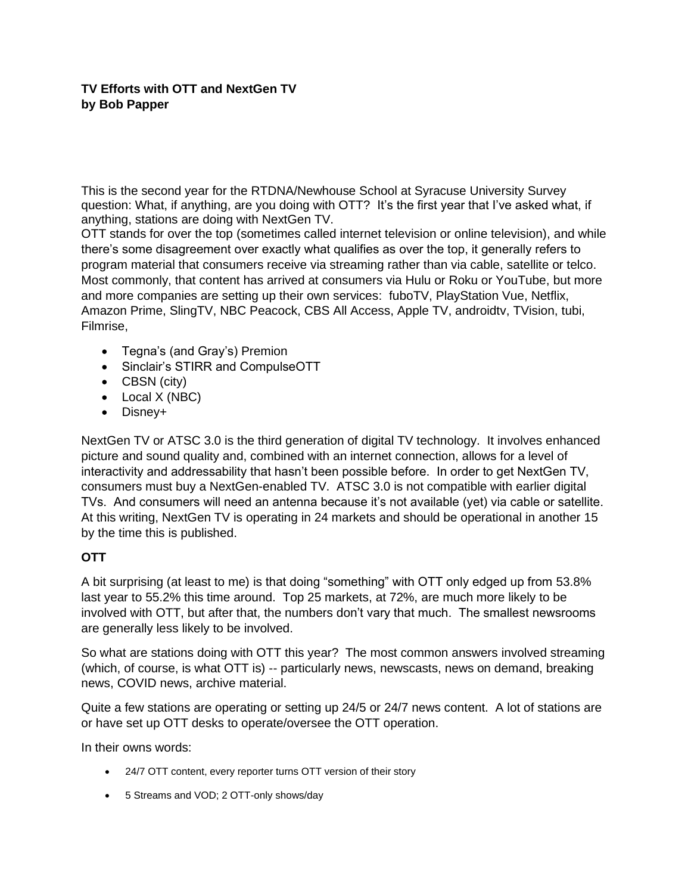## **TV Efforts with OTT and NextGen TV by Bob Papper**

This is the second year for the RTDNA/Newhouse School at Syracuse University Survey question: What, if anything, are you doing with OTT? It's the first year that I've asked what, if anything, stations are doing with NextGen TV.

OTT stands for over the top (sometimes called internet television or online television), and while there's some disagreement over exactly what qualifies as over the top, it generally refers to program material that consumers receive via streaming rather than via cable, satellite or telco. Most commonly, that content has arrived at consumers via Hulu or Roku or YouTube, but more and more companies are setting up their own services: fuboTV, PlayStation Vue, Netflix, Amazon Prime, SlingTV, NBC Peacock, CBS All Access, Apple TV, androidtv, TVision, tubi, Filmrise,

- Tegna's (and Gray's) Premion
- Sinclair's STIRR and CompulseOTT
- CBSN (city)
- Local X (NBC)
- Disney+

NextGen TV or ATSC 3.0 is the third generation of digital TV technology. It involves enhanced picture and sound quality and, combined with an internet connection, allows for a level of interactivity and addressability that hasn't been possible before. In order to get NextGen TV, consumers must buy a NextGen-enabled TV. ATSC 3.0 is not compatible with earlier digital TVs. And consumers will need an antenna because it's not available (yet) via cable or satellite. At this writing, NextGen TV is operating in 24 markets and should be operational in another 15 by the time this is published.

## **OTT**

A bit surprising (at least to me) is that doing "something" with OTT only edged up from 53.8% last year to 55.2% this time around. Top 25 markets, at 72%, are much more likely to be involved with OTT, but after that, the numbers don't vary that much. The smallest newsrooms are generally less likely to be involved.

So what are stations doing with OTT this year? The most common answers involved streaming (which, of course, is what OTT is) -- particularly news, newscasts, news on demand, breaking news, COVID news, archive material.

Quite a few stations are operating or setting up 24/5 or 24/7 news content. A lot of stations are or have set up OTT desks to operate/oversee the OTT operation.

In their owns words:

- 24/7 OTT content, every reporter turns OTT version of their story
- 5 Streams and VOD; 2 OTT-only shows/day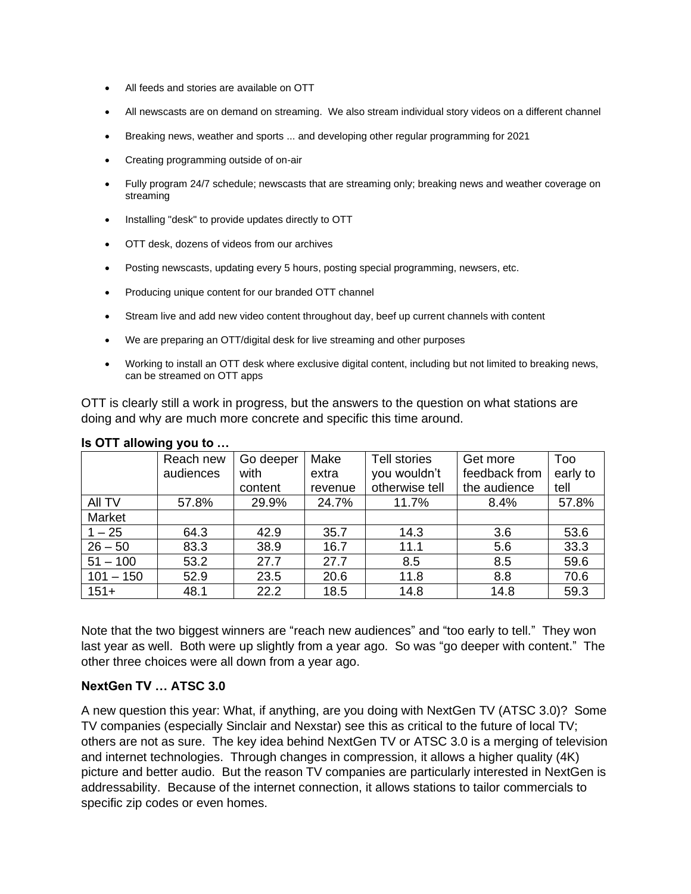- All feeds and stories are available on OTT
- All newscasts are on demand on streaming. We also stream individual story videos on a different channel
- Breaking news, weather and sports ... and developing other regular programming for 2021
- Creating programming outside of on-air
- Fully program 24/7 schedule; newscasts that are streaming only; breaking news and weather coverage on streaming
- Installing "desk" to provide updates directly to OTT
- OTT desk, dozens of videos from our archives
- Posting newscasts, updating every 5 hours, posting special programming, newsers, etc.
- Producing unique content for our branded OTT channel
- Stream live and add new video content throughout day, beef up current channels with content
- We are preparing an OTT/digital desk for live streaming and other purposes
- Working to install an OTT desk where exclusive digital content, including but not limited to breaking news, can be streamed on OTT apps

OTT is clearly still a work in progress, but the answers to the question on what stations are doing and why are much more concrete and specific this time around.

|             | Reach new | Go deeper | Make    | Tell stories   | Get more      | Too      |
|-------------|-----------|-----------|---------|----------------|---------------|----------|
|             | audiences | with      | extra   | you wouldn't   | feedback from | early to |
|             |           | content   | revenue | otherwise tell | the audience  | tell     |
| All TV      | 57.8%     | 29.9%     | 24.7%   | 11.7%          | 8.4%          | 57.8%    |
| Market      |           |           |         |                |               |          |
| $1 - 25$    | 64.3      | 42.9      | 35.7    | 14.3           | 3.6           | 53.6     |
| $26 - 50$   | 83.3      | 38.9      | 16.7    | 11.1           | 5.6           | 33.3     |
| $51 - 100$  | 53.2      | 27.7      | 27.7    | 8.5            | 8.5           | 59.6     |
| $101 - 150$ | 52.9      | 23.5      | 20.6    | 11.8           | 8.8           | 70.6     |
| $151+$      | 48.1      | 22.2      | 18.5    | 14.8           | 14.8          | 59.3     |

## **Is OTT allowing you to …**

Note that the two biggest winners are "reach new audiences" and "too early to tell." They won last year as well. Both were up slightly from a year ago. So was "go deeper with content." The other three choices were all down from a year ago.

## **NextGen TV … ATSC 3.0**

A new question this year: What, if anything, are you doing with NextGen TV (ATSC 3.0)? Some TV companies (especially Sinclair and Nexstar) see this as critical to the future of local TV; others are not as sure. The key idea behind NextGen TV or ATSC 3.0 is a merging of television and internet technologies. Through changes in compression, it allows a higher quality (4K) picture and better audio. But the reason TV companies are particularly interested in NextGen is addressability. Because of the internet connection, it allows stations to tailor commercials to specific zip codes or even homes.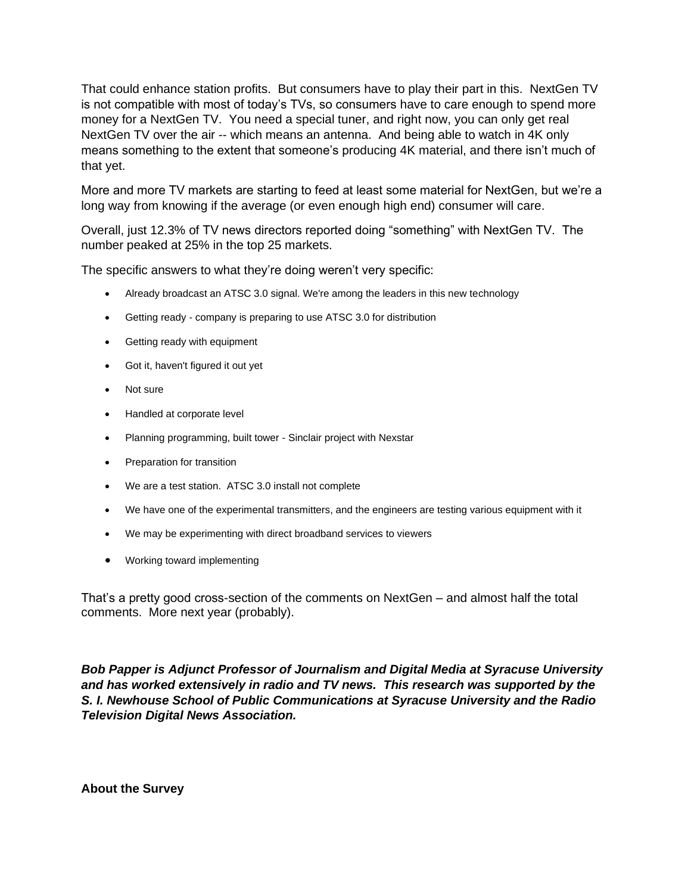That could enhance station profits. But consumers have to play their part in this. NextGen TV is not compatible with most of today's TVs, so consumers have to care enough to spend more money for a NextGen TV. You need a special tuner, and right now, you can only get real NextGen TV over the air -- which means an antenna. And being able to watch in 4K only means something to the extent that someone's producing 4K material, and there isn't much of that yet.

More and more TV markets are starting to feed at least some material for NextGen, but we're a long way from knowing if the average (or even enough high end) consumer will care.

Overall, just 12.3% of TV news directors reported doing "something" with NextGen TV. The number peaked at 25% in the top 25 markets.

The specific answers to what they're doing weren't very specific:

- Already broadcast an ATSC 3.0 signal. We're among the leaders in this new technology
- Getting ready company is preparing to use ATSC 3.0 for distribution
- Getting ready with equipment
- Got it, haven't figured it out yet
- Not sure
- Handled at corporate level
- Planning programming, built tower Sinclair project with Nexstar
- Preparation for transition
- We are a test station. ATSC 3.0 install not complete
- We have one of the experimental transmitters, and the engineers are testing various equipment with it
- We may be experimenting with direct broadband services to viewers
- Working toward implementing

That's a pretty good cross-section of the comments on NextGen – and almost half the total comments. More next year (probably).

*Bob Papper is Adjunct Professor of Journalism and Digital Media at Syracuse University and has worked extensively in radio and TV news. This research was supported by the S. I. Newhouse School of Public Communications at Syracuse University and the Radio Television Digital News Association.*

**About the Survey**